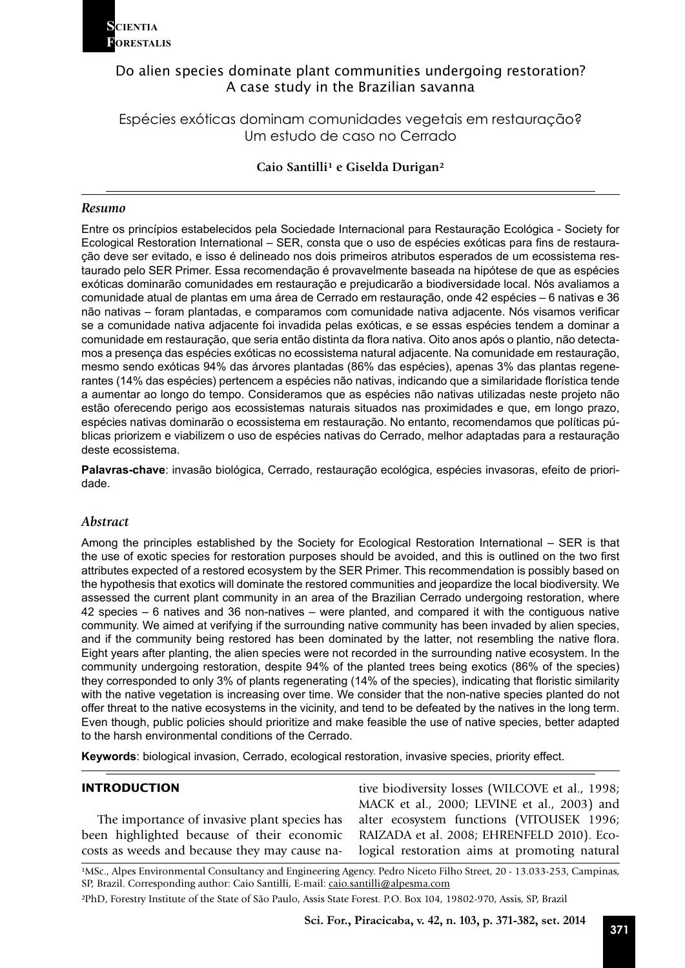

Espécies exóticas dominam comunidades vegetais em restauração? Um estudo de caso no Cerrado

## Caio Santilli<sup>1</sup> e Giselda Durigan<sup>2</sup>

### *Resumo*

Entre os princípios estabelecidos pela Sociedade Internacional para Restauração Ecológica - Society for Ecological Restoration International – SER, consta que o uso de espécies exóticas para fins de restauração deve ser evitado, e isso é delineado nos dois primeiros atributos esperados de um ecossistema restaurado pelo SER Primer. Essa recomendação é provavelmente baseada na hipótese de que as espécies exóticas dominarão comunidades em restauração e prejudicarão a biodiversidade local. Nós avaliamos a comunidade atual de plantas em uma área de Cerrado em restauração, onde 42 espécies – 6 nativas e 36 não nativas – foram plantadas, e comparamos com comunidade nativa adjacente. Nós visamos verificar se a comunidade nativa adjacente foi invadida pelas exóticas, e se essas espécies tendem a dominar a comunidade em restauração, que seria então distinta da flora nativa. Oito anos após o plantio, não detectamos a presença das espécies exóticas no ecossistema natural adjacente. Na comunidade em restauração, mesmo sendo exóticas 94% das árvores plantadas (86% das espécies), apenas 3% das plantas regenerantes (14% das espécies) pertencem a espécies não nativas, indicando que a similaridade florística tende a aumentar ao longo do tempo. Consideramos que as espécies não nativas utilizadas neste projeto não estão oferecendo perigo aos ecossistemas naturais situados nas proximidades e que, em longo prazo, espécies nativas dominarão o ecossistema em restauração. No entanto, recomendamos que políticas públicas priorizem e viabilizem o uso de espécies nativas do Cerrado, melhor adaptadas para a restauração deste ecossistema.

**Palavras-chave**: invasão biológica, Cerrado, restauração ecológica, espécies invasoras, efeito de prioridade.

### *Abstract*

Among the principles established by the Society for Ecological Restoration International – SER is that the use of exotic species for restoration purposes should be avoided, and this is outlined on the two first attributes expected of a restored ecosystem by the SER Primer. This recommendation is possibly based on the hypothesis that exotics will dominate the restored communities and jeopardize the local biodiversity. We assessed the current plant community in an area of the Brazilian Cerrado undergoing restoration, where 42 species – 6 natives and 36 non-natives – were planted, and compared it with the contiguous native community. We aimed at verifying if the surrounding native community has been invaded by alien species, and if the community being restored has been dominated by the latter, not resembling the native flora. Eight years after planting, the alien species were not recorded in the surrounding native ecosystem. In the community undergoing restoration, despite 94% of the planted trees being exotics (86% of the species) they corresponded to only 3% of plants regenerating (14% of the species), indicating that floristic similarity with the native vegetation is increasing over time. We consider that the non-native species planted do not offer threat to the native ecosystems in the vicinity, and tend to be defeated by the natives in the long term. Even though, public policies should prioritize and make feasible the use of native species, better adapted to the harsh environmental conditions of the Cerrado.

**Keywords**: biological invasion, Cerrado, ecological restoration, invasive species, priority effect.

### **INTRODUCTION**

The importance of invasive plant species has been highlighted because of their economic costs as weeds and because they may cause native biodiversity losses (WILCOVE et al., 1998; MACK et al., 2000; LEVINE et al., 2003) and alter ecosystem functions (VITOUSEK 1996; RAIZADA et al. 2008; EHRENFELD 2010). Ecological restoration aims at promoting natural

²PhD, Forestry Institute of the State of São Paulo, Assis State Forest. P.O. Box 104, 19802-970, Assis, SP, Brazil

<sup>&</sup>lt;sup>1</sup>MSc., Alpes Environmental Consultancy and Engineering Agency. Pedro Niceto Filho Street, 20 - 13.033-253, Campinas, SP, Brazil. Corresponding author: Caio Santilli, E-mail: caio.santilli@alpesma.com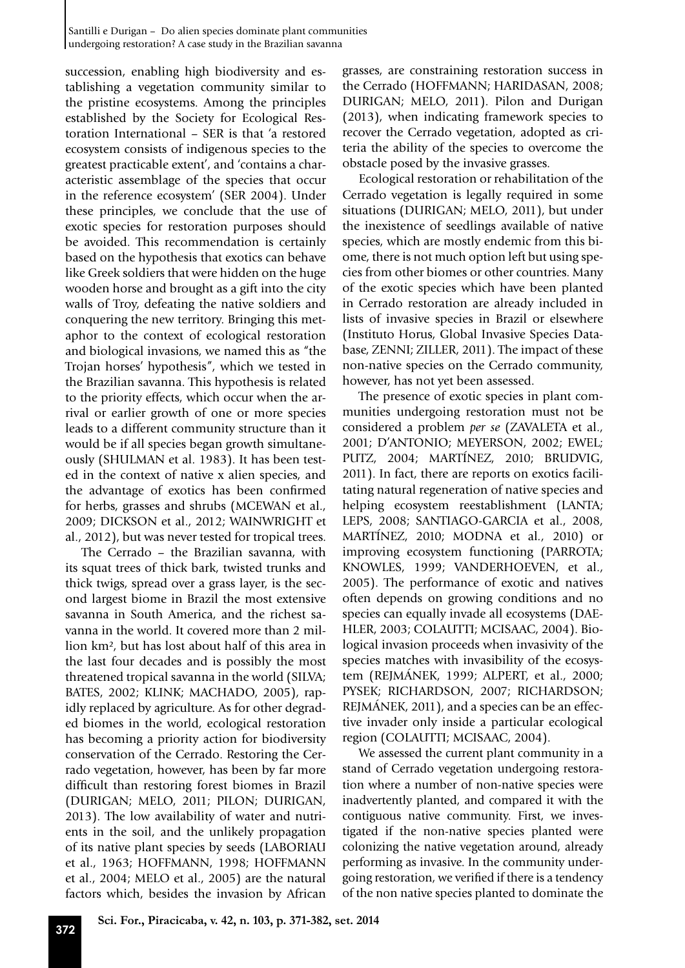succession, enabling high biodiversity and establishing a vegetation community similar to the pristine ecosystems. Among the principles established by the Society for Ecological Restoration International – SER is that 'a restored ecosystem consists of indigenous species to the greatest practicable extent', and 'contains a characteristic assemblage of the species that occur in the reference ecosystem' (SER 2004). Under these principles, we conclude that the use of exotic species for restoration purposes should be avoided. This recommendation is certainly based on the hypothesis that exotics can behave like Greek soldiers that were hidden on the huge wooden horse and brought as a gift into the city walls of Troy, defeating the native soldiers and conquering the new territory. Bringing this metaphor to the context of ecological restoration and biological invasions, we named this as "the Trojan horses' hypothesis", which we tested in the Brazilian savanna. This hypothesis is related to the priority effects, which occur when the arrival or earlier growth of one or more species leads to a different community structure than it would be if all species began growth simultaneously (SHULMAN et al. 1983). It has been tested in the context of native x alien species, and the advantage of exotics has been confirmed for herbs, grasses and shrubs (MCEWAN et al., 2009; DICKSON et al., 2012; WAINWRIGHT et al., 2012), but was never tested for tropical trees.

The Cerrado – the Brazilian savanna, with its squat trees of thick bark, twisted trunks and thick twigs, spread over a grass layer, is the second largest biome in Brazil the most extensive savanna in South America, and the richest savanna in the world. It covered more than 2 million km², but has lost about half of this area in the last four decades and is possibly the most threatened tropical savanna in the world (SILVA; BATES, 2002; KLINK; MACHADO, 2005), rapidly replaced by agriculture. As for other degraded biomes in the world, ecological restoration has becoming a priority action for biodiversity conservation of the Cerrado. Restoring the Cerrado vegetation, however, has been by far more difficult than restoring forest biomes in Brazil (DURIGAN; MELO, 2011; PILON; DURIGAN, 2013). The low availability of water and nutrients in the soil, and the unlikely propagation of its native plant species by seeds (LABORIAU et al., 1963; HOFFMANN, 1998; HOFFMANN et al., 2004; MELO et al., 2005) are the natural factors which, besides the invasion by African grasses, are constraining restoration success in the Cerrado (HOFFMANN; HARIDASAN, 2008; DURIGAN; MELO, 2011). Pilon and Durigan (2013), when indicating framework species to recover the Cerrado vegetation, adopted as criteria the ability of the species to overcome the obstacle posed by the invasive grasses.

Ecological restoration or rehabilitation of the Cerrado vegetation is legally required in some situations (DURIGAN; MELO, 2011), but under the inexistence of seedlings available of native species, which are mostly endemic from this biome, there is not much option left but using species from other biomes or other countries. Many of the exotic species which have been planted in Cerrado restoration are already included in lists of invasive species in Brazil or elsewhere (Instituto Horus, Global Invasive Species Database, ZENNI; ZILLER, 2011). The impact of these non-native species on the Cerrado community, however, has not yet been assessed.

The presence of exotic species in plant communities undergoing restoration must not be considered a problem *per se* (ZAVALETA et al., 2001; D'ANTONIO; MEYERSON, 2002; EWEL; PUTZ, 2004; MARTÍNEZ, 2010; BRUDVIG, 2011). In fact, there are reports on exotics facilitating natural regeneration of native species and helping ecosystem reestablishment (LANTA; LEPS, 2008; SANTIAGO-GARCIA et al., 2008, MARTÍNEZ, 2010; MODNA et al*.,* 2010) or improving ecosystem functioning (PARROTA; KNOWLES, 1999; VANDERHOEVEN, et al., 2005). The performance of exotic and natives often depends on growing conditions and no species can equally invade all ecosystems (DAE-HLER, 2003; COLAUTTI; MCISAAC, 2004). Biological invasion proceeds when invasivity of the species matches with invasibility of the ecosystem (REJMÁNEK, 1999; ALPERT, et al., 2000; PYSEK; RICHARDSON, 2007; RICHARDSON; REJMÁNEK, 2011), and a species can be an effective invader only inside a particular ecological region (COLAUTTI; MCISAAC, 2004).

We assessed the current plant community in a stand of Cerrado vegetation undergoing restoration where a number of non-native species were inadvertently planted, and compared it with the contiguous native community. First, we investigated if the non-native species planted were colonizing the native vegetation around, already performing as invasive. In the community undergoing restoration, we verified if there is a tendency of the non native species planted to dominate the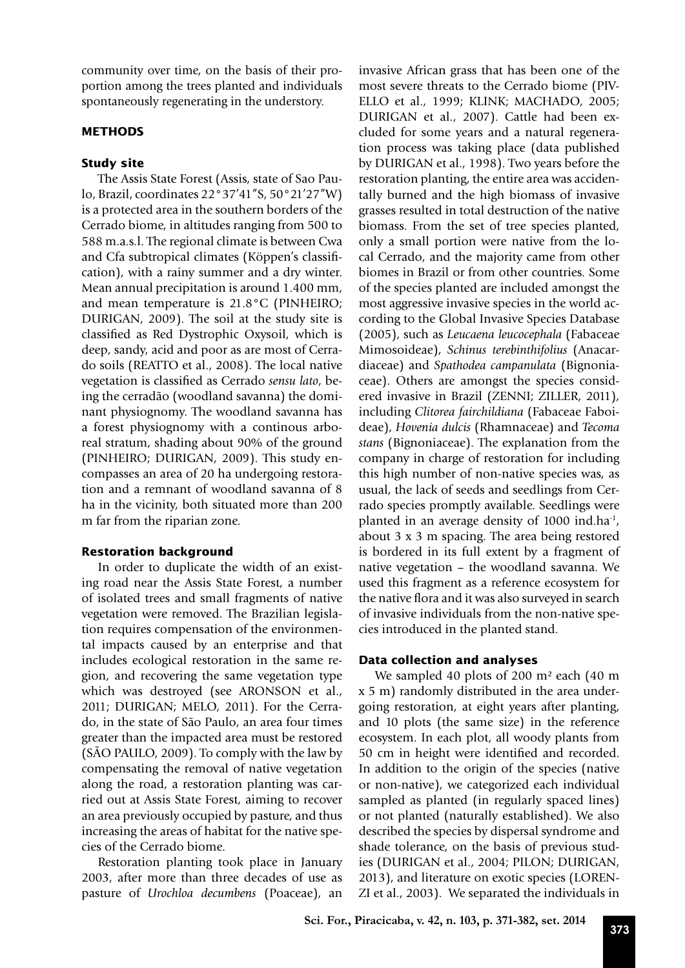community over time, on the basis of their proportion among the trees planted and individuals spontaneously regenerating in the understory.

## **METHODS**

## **Study site**

The Assis State Forest (Assis, state of Sao Paulo, Brazil, coordinates 22°37'41"S, 50°21'27"W) is a protected area in the southern borders of the Cerrado biome, in altitudes ranging from 500 to 588 m.a.s.l. The regional climate is between Cwa and Cfa subtropical climates (Köppen's classification), with a rainy summer and a dry winter. Mean annual precipitation is around 1.400 mm, and mean temperature is 21.8°C (PINHEIRO; DURIGAN, 2009). The soil at the study site is classified as Red Dystrophic Oxysoil, which is deep, sandy, acid and poor as are most of Cerrado soils (REATTO et al., 2008). The local native vegetation is classified as Cerrado *sensu lato*, being the cerradão (woodland savanna) the dominant physiognomy. The woodland savanna has a forest physiognomy with a continous arboreal stratum, shading about 90% of the ground (PINHEIRO; DURIGAN, 2009). This study encompasses an area of 20 ha undergoing restoration and a remnant of woodland savanna of 8 ha in the vicinity, both situated more than 200 m far from the riparian zone.

## **Restoration background**

In order to duplicate the width of an existing road near the Assis State Forest, a number of isolated trees and small fragments of native vegetation were removed. The Brazilian legislation requires compensation of the environmental impacts caused by an enterprise and that includes ecological restoration in the same region, and recovering the same vegetation type which was destroyed (see ARONSON et al., 2011; DURIGAN; MELO, 2011). For the Cerrado, in the state of São Paulo, an area four times greater than the impacted area must be restored (SÃO PAULO, 2009). To comply with the law by compensating the removal of native vegetation along the road, a restoration planting was carried out at Assis State Forest, aiming to recover an area previously occupied by pasture, and thus increasing the areas of habitat for the native species of the Cerrado biome.

Restoration planting took place in January 2003, after more than three decades of use as pasture of *Urochloa decumbens* (Poaceae), an invasive African grass that has been one of the most severe threats to the Cerrado biome (PIV-ELLO et al., 1999; KLINK; MACHADO, 2005; DURIGAN et al., 2007). Cattle had been excluded for some years and a natural regeneration process was taking place (data published by DURIGAN et al., 1998). Two years before the restoration planting, the entire area was accidentally burned and the high biomass of invasive grasses resulted in total destruction of the native biomass. From the set of tree species planted, only a small portion were native from the local Cerrado, and the majority came from other biomes in Brazil or from other countries. Some of the species planted are included amongst the most aggressive invasive species in the world according to the Global Invasive Species Database (2005), such as *Leucaena leucocephala* (Fabaceae Mimosoideae), *Schinus terebinthifolius* (Anacardiaceae) and *Spathodea campanulata* (Bignoniaceae). Others are amongst the species considered invasive in Brazil (ZENNI; ZILLER, 2011), including *Clitorea fairchildiana* (Fabaceae Faboideae), *Hovenia dulcis* (Rhamnaceae) and *Tecoma stans* (Bignoniaceae). The explanation from the company in charge of restoration for including this high number of non-native species was, as usual, the lack of seeds and seedlings from Cerrado species promptly available. Seedlings were planted in an average density of 1000 ind.ha-1, about 3 x 3 m spacing. The area being restored is bordered in its full extent by a fragment of native vegetation – the woodland savanna. We used this fragment as a reference ecosystem for the native flora and it was also surveyed in search of invasive individuals from the non-native species introduced in the planted stand.

## **Data collection and analyses**

We sampled 40 plots of 200 m² each (40 m x 5 m) randomly distributed in the area undergoing restoration, at eight years after planting, and 10 plots (the same size) in the reference ecosystem. In each plot, all woody plants from 50 cm in height were identified and recorded. In addition to the origin of the species (native or non-native), we categorized each individual sampled as planted (in regularly spaced lines) or not planted (naturally established). We also described the species by dispersal syndrome and shade tolerance, on the basis of previous studies (DURIGAN et al., 2004; PILON; DURIGAN, 2013), and literature on exotic species (LOREN-ZI et al., 2003). We separated the individuals in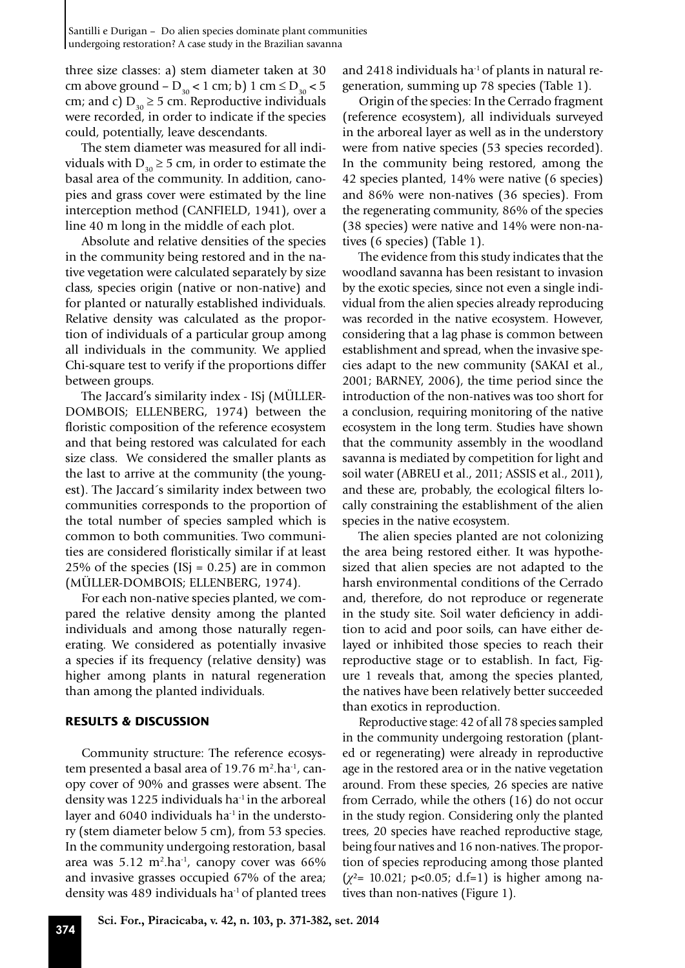three size classes: a) stem diameter taken at 30 cm above ground –  $D_{30}$  < 1 cm; b) 1 cm  $\leq D_{30}$  < 5 cm; and c)  $D_{30} \geq 5$  cm. Reproductive individuals were recorded, in order to indicate if the species could, potentially, leave descendants.

The stem diameter was measured for all individuals with  $D_{30} \geq 5$  cm, in order to estimate the basal area of the community. In addition, canopies and grass cover were estimated by the line interception method (CANFIELD, 1941), over a line 40 m long in the middle of each plot.

Absolute and relative densities of the species in the community being restored and in the native vegetation were calculated separately by size class, species origin (native or non-native) and for planted or naturally established individuals. Relative density was calculated as the proportion of individuals of a particular group among all individuals in the community. We applied Chi-square test to verify if the proportions differ between groups.

The Jaccard's similarity index - ISj (MÜLLER-DOMBOIS; ELLENBERG, 1974) between the floristic composition of the reference ecosystem and that being restored was calculated for each size class. We considered the smaller plants as the last to arrive at the community (the youngest). The Jaccard´s similarity index between two communities corresponds to the proportion of the total number of species sampled which is common to both communities. Two communities are considered floristically similar if at least 25% of the species ( $ISj = 0.25$ ) are in common (MÜLLER-DOMBOIS; ELLENBERG, 1974).

For each non-native species planted, we compared the relative density among the planted individuals and among those naturally regenerating. We considered as potentially invasive a species if its frequency (relative density) was higher among plants in natural regeneration than among the planted individuals.

### **RESULTS & DISCUSSION**

Community structure: The reference ecosystem presented a basal area of 19.76  $m^2$ .ha<sup>-1</sup>, canopy cover of 90% and grasses were absent. The density was 1225 individuals ha $^{-1}$  in the arboreal layer and  $6040$  individuals ha<sup>-1</sup> in the understory (stem diameter below 5 cm), from 53 species. In the community undergoing restoration, basal area was  $5.12 \text{ m}^2 \cdot \text{ha}^1$ , canopy cover was  $66\%$ and invasive grasses occupied 67% of the area; density was 489 individuals ha $^{-1}$  of planted trees

and 2418 individuals ha $^{-1}$  of plants in natural regeneration, summing up 78 species (Table 1).

Origin of the species: In the Cerrado fragment (reference ecosystem), all individuals surveyed in the arboreal layer as well as in the understory were from native species (53 species recorded). In the community being restored, among the 42 species planted, 14% were native (6 species) and 86% were non-natives (36 species). From the regenerating community, 86% of the species (38 species) were native and 14% were non-natives (6 species) (Table 1).

The evidence from this study indicates that the woodland savanna has been resistant to invasion by the exotic species, since not even a single individual from the alien species already reproducing was recorded in the native ecosystem. However, considering that a lag phase is common between establishment and spread, when the invasive species adapt to the new community (SAKAI et al., 2001; BARNEY, 2006), the time period since the introduction of the non-natives was too short for a conclusion, requiring monitoring of the native ecosystem in the long term. Studies have shown that the community assembly in the woodland savanna is mediated by competition for light and soil water (ABREU et al., 2011; ASSIS et al., 2011), and these are, probably, the ecological filters locally constraining the establishment of the alien species in the native ecosystem.

The alien species planted are not colonizing the area being restored either. It was hypothesized that alien species are not adapted to the harsh environmental conditions of the Cerrado and, therefore, do not reproduce or regenerate in the study site. Soil water deficiency in addition to acid and poor soils, can have either delayed or inhibited those species to reach their reproductive stage or to establish. In fact, Figure 1 reveals that, among the species planted, the natives have been relatively better succeeded than exotics in reproduction.

Reproductive stage: 42 of all 78 species sampled in the community undergoing restoration (planted or regenerating) were already in reproductive age in the restored area or in the native vegetation around. From these species, 26 species are native from Cerrado, while the others (16) do not occur in the study region. Considering only the planted trees, 20 species have reached reproductive stage, being four natives and 16 non-natives. The proportion of species reproducing among those planted (*χ*²= 10.021; p<0.05; d.f=1) is higher among natives than non-natives (Figure 1).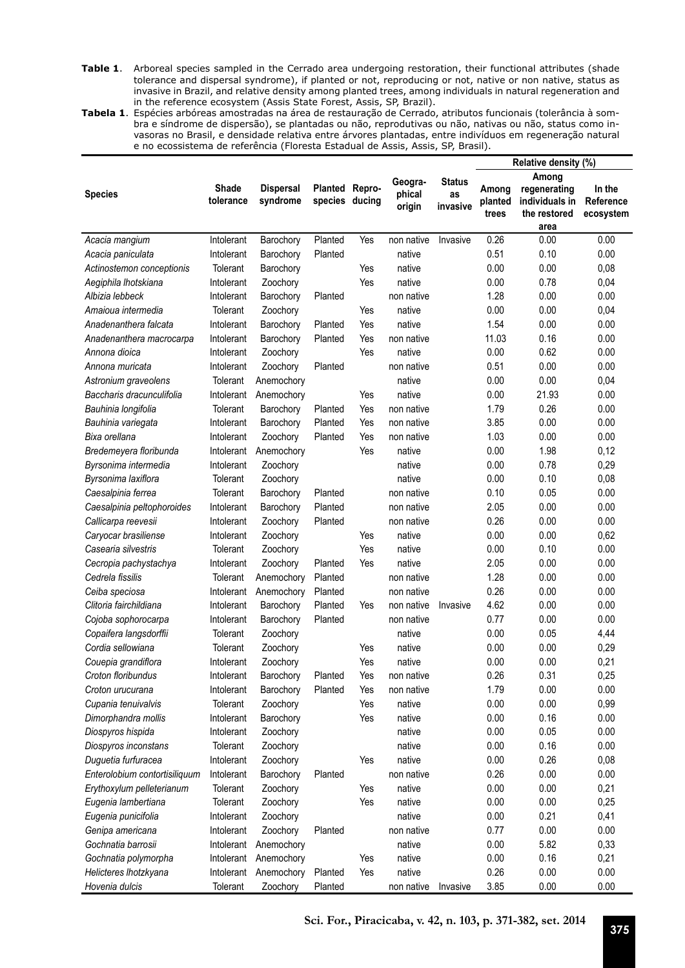**Table 1**. Arboreal species sampled in the Cerrado area undergoing restoration, their functional attributes (shade tolerance and dispersal syndrome), if planted or not, reproducing or not, native or non native, status as invasive in Brazil, and relative density among planted trees, among individuals in natural regeneration and in the reference ecosystem (Assis State Forest, Assis, SP, Brazil).

**Tabela 1**. Espécies arbóreas amostradas na área de restauração de Cerrado, atributos funcionais (tolerância à sombra e síndrome de dispersão), se plantadas ou não, reprodutivas ou não, nativas ou não, status como invasoras no Brasil, e densidade relativa entre árvores plantadas, entre indivíduos em regeneração natural e no ecossistema de referência (Floresta Estadual de Assis, Assis, SP, Brasil).

|                               |                    |                              |                                  |        |                             |                                 | Relative density (%)      |                                                         |                                  |
|-------------------------------|--------------------|------------------------------|----------------------------------|--------|-----------------------------|---------------------------------|---------------------------|---------------------------------------------------------|----------------------------------|
| <b>Species</b>                | Shade<br>tolerance | <b>Dispersal</b><br>syndrome | <b>Planted</b><br>species ducing | Repro- | Geogra-<br>phical<br>origin | <b>Status</b><br>as<br>invasive | Among<br>planted<br>trees | Among<br>regenerating<br>individuals in<br>the restored | In the<br>Reference<br>ecosystem |
|                               |                    |                              |                                  |        |                             |                                 |                           | area                                                    |                                  |
| Acacia mangium                | Intolerant         | Barochory                    | Planted                          | Yes    | non native                  | Invasive                        | 0.26                      | 0.00                                                    | 0.00                             |
| Acacia paniculata             | Intolerant         | Barochory                    | Planted                          |        | native                      |                                 | 0.51                      | 0.10                                                    | 0.00                             |
| Actinostemon conceptionis     | Tolerant           | Barochory                    |                                  | Yes    | native                      |                                 | 0.00                      | 0.00                                                    | 0,08                             |
| Aegiphila Ihotskiana          | Intolerant         | Zoochory                     |                                  | Yes    | native                      |                                 | 0.00                      | 0.78                                                    | 0,04                             |
| Albizia lebbeck               | Intolerant         | Barochory                    | Planted                          |        | non native                  |                                 | 1.28                      | 0.00                                                    | 0.00                             |
| Amaioua intermedia            | Tolerant           | Zoochory                     |                                  | Yes    | native                      |                                 | 0.00                      | 0.00                                                    | 0,04                             |
| Anadenanthera falcata         | Intolerant         | Barochory                    | Planted                          | Yes    | native                      |                                 | 1.54                      | 0.00                                                    | 0.00                             |
| Anadenanthera macrocarpa      | Intolerant         | Barochory                    | Planted                          | Yes    | non native                  |                                 | 11.03                     | 0.16                                                    | 0.00                             |
| Annona dioica                 | Intolerant         | Zoochory                     |                                  | Yes    | native                      |                                 | 0.00                      | 0.62                                                    | 0.00                             |
| Annona muricata               | Intolerant         | Zoochory                     | Planted                          |        | non native                  |                                 | 0.51                      | 0.00                                                    | 0.00                             |
| Astronium graveolens          | Tolerant           | Anemochory                   |                                  |        | native                      |                                 | 0.00                      | 0.00                                                    | 0,04                             |
| Baccharis dracunculifolia     | Intolerant         | Anemochory                   |                                  | Yes    | native                      |                                 | 0.00                      | 21.93                                                   | 0.00                             |
| Bauhinia longifolia           | Tolerant           | Barochory                    | Planted                          | Yes    | non native                  |                                 | 1.79                      | 0.26                                                    | 0.00                             |
| Bauhinia variegata            | Intolerant         | Barochory                    | Planted                          | Yes    | non native                  |                                 | 3.85                      | 0.00                                                    | 0.00                             |
| Bixa orellana                 | Intolerant         | Zoochory                     | Planted                          | Yes    | non native                  |                                 | 1.03                      | 0.00                                                    | 0.00                             |
| Bredemeyera floribunda        | Intolerant         | Anemochory                   |                                  | Yes    | native                      |                                 | 0.00                      | 1.98                                                    | 0,12                             |
| Byrsonima intermedia          | Intolerant         | Zoochory                     |                                  |        | native                      |                                 | 0.00                      | 0.78                                                    | 0,29                             |
| Byrsonima laxiflora           | Tolerant           | Zoochory                     |                                  |        | native                      |                                 | 0.00                      | 0.10                                                    | 0,08                             |
| Caesalpinia ferrea            | Tolerant           | Barochory                    | Planted                          |        | non native                  |                                 | 0.10                      | 0.05                                                    | 0.00                             |
| Caesalpinia peltophoroides    | Intolerant         | Barochory                    | Planted                          |        | non native                  |                                 | 2.05                      | 0.00                                                    | 0.00                             |
| Callicarpa reevesii           | Intolerant         | Zoochory                     | Planted                          |        | non native                  |                                 | 0.26                      | 0.00                                                    | 0.00                             |
| Caryocar brasiliense          | Intolerant         | Zoochory                     |                                  | Yes    | native                      |                                 | 0.00                      | 0.00                                                    | 0,62                             |
| Casearia silvestris           | Tolerant           | Zoochory                     |                                  | Yes    | native                      |                                 | 0.00                      | 0.10                                                    | 0.00                             |
| Cecropia pachystachya         | Intolerant         | Zoochory                     | Planted                          | Yes    | native                      |                                 | 2.05                      | 0.00                                                    | 0.00                             |
| Cedrela fissilis              | Tolerant           | Anemochory                   | Planted                          |        | non native                  |                                 | 1.28                      | 0.00                                                    | 0.00                             |
| Ceiba speciosa                | Intolerant         | Anemochory                   | Planted                          |        | non native                  |                                 | 0.26                      | 0.00                                                    | 0.00                             |
| Clitoria fairchildiana        | Intolerant         | Barochory                    | Planted                          | Yes    | non native                  | Invasive                        | 4.62                      | 0.00                                                    | 0.00                             |
| Cojoba sophorocarpa           | Intolerant         | Barochory                    | Planted                          |        | non native                  |                                 | 0.77                      | 0.00                                                    | 0.00                             |
| Copaifera langsdorffii        | Tolerant           | Zoochory                     |                                  |        | native                      |                                 | 0.00                      | 0.05                                                    | 4,44                             |
| Cordia sellowiana             | Tolerant           | Zoochory                     |                                  | Yes    | native                      |                                 | 0.00                      | 0.00                                                    | 0,29                             |
| Couepia grandiflora           | Intolerant         | Zoochory                     |                                  | Yes    | native                      |                                 | 0.00                      | 0.00                                                    | 0,21                             |
| Croton floribundus            | Intolerant         | Barochory                    | Planted                          | Yes    | non native                  |                                 | 0.26                      | 0.31                                                    | 0,25                             |
| Croton urucurana              | Intolerant         | Barochory                    | Planted                          | Yes    | non native                  |                                 | 1.79                      | 0.00                                                    | 0.00                             |
| Cupania tenuivalvis           | Tolerant           | Zoochory                     |                                  | Yes    | native                      |                                 | 0.00                      | 0.00                                                    | 0,99                             |
| Dimorphandra mollis           | Intolerant         | Barochory                    |                                  | Yes    | native                      |                                 | 0.00                      | 0.16                                                    | 0.00                             |
| Diospyros hispida             | Intolerant         | Zoochory                     |                                  |        | native                      |                                 | 0.00                      | 0.05                                                    | 0.00                             |
| Diospyros inconstans          | Tolerant           | Zoochory                     |                                  |        | native                      |                                 | 0.00                      | 0.16                                                    | 0.00                             |
| Duguetia furfuracea           | Intolerant         | Zoochory                     |                                  | Yes    | native                      |                                 | 0.00                      | 0.26                                                    | 0,08                             |
| Enterolobium contortisiliquum | Intolerant         | Barochory                    | Planted                          |        | non native                  |                                 | 0.26                      | 0.00                                                    | 0.00                             |
| Erythoxylum pelleterianum     | Tolerant           | Zoochory                     |                                  | Yes    | native                      |                                 | 0.00                      | 0.00                                                    | 0,21                             |
| Eugenia lambertiana           | Tolerant           | Zoochory                     |                                  | Yes    | native                      |                                 | 0.00                      | 0.00                                                    | 0,25                             |
| Eugenia punicifolia           | Intolerant         | Zoochory                     |                                  |        | native                      |                                 | 0.00                      | 0.21                                                    | 0,41                             |
| Genipa americana              | Intolerant         | Zoochory                     | Planted                          |        | non native                  |                                 | 0.77                      | 0.00                                                    | 0.00                             |
| Gochnatia barrosii            | Intolerant         | Anemochory                   |                                  |        | native                      |                                 | 0.00                      | 5.82                                                    | 0,33                             |
| Gochnatia polymorpha          | Intolerant         | Anemochory                   |                                  | Yes    | native                      |                                 | 0.00                      | 0.16                                                    | 0,21                             |
| Helicteres Ihotzkyana         | Intolerant         | Anemochory                   | Planted                          | Yes    | native                      |                                 | 0.26                      | 0.00                                                    | 0.00                             |
| Hovenia dulcis                | Tolerant           | Zoochory                     | Planted                          |        | non native                  | Invasive                        | 3.85                      | 0.00                                                    | 0.00                             |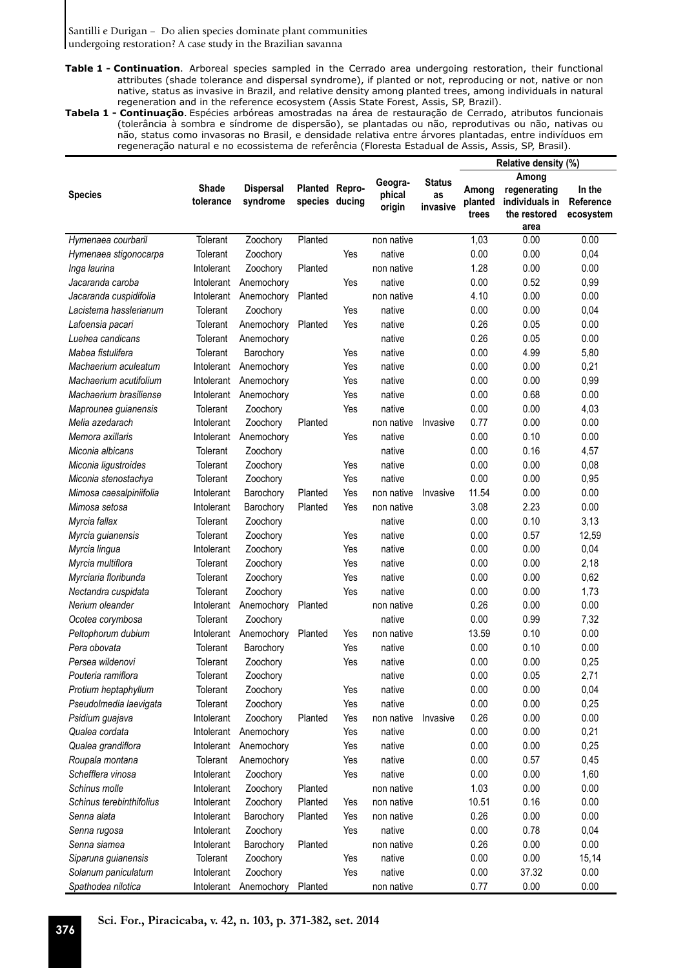- **Table 1 Continuation**. Arboreal species sampled in the Cerrado area undergoing restoration, their functional attributes (shade tolerance and dispersal syndrome), if planted or not, reproducing or not, native or non native, status as invasive in Brazil, and relative density among planted trees, among individuals in natural regeneration and in the reference ecosystem (Assis State Forest, Assis, SP, Brazil).
- **Tabela 1 Continuação**. Espécies arbóreas amostradas na área de restauração de Cerrado, atributos funcionais (tolerância à sombra e síndrome de dispersão), se plantadas ou não, reprodutivas ou não, nativas ou não, status como invasoras no Brasil, e densidade relativa entre árvores plantadas, entre indivíduos em regeneração natural e no ecossistema de referência (Floresta Estadual de Assis, Assis, SP, Brasil).

|                          |                    |                              |                                  |     |                             |                                 | Relative density (%)      |                                                                 |                                  |
|--------------------------|--------------------|------------------------------|----------------------------------|-----|-----------------------------|---------------------------------|---------------------------|-----------------------------------------------------------------|----------------------------------|
| <b>Species</b>           | Shade<br>tolerance | <b>Dispersal</b><br>syndrome | Planted Repro-<br>species ducing |     | Geogra-<br>phical<br>origin | <b>Status</b><br>as<br>invasive | Among<br>planted<br>trees | Among<br>regenerating<br>individuals in<br>the restored<br>area | In the<br>Reference<br>ecosystem |
| Hymenaea courbaril       | Tolerant           | Zoochory                     | Planted                          |     | non native                  |                                 | 1,03                      | 0.00                                                            | 0.00                             |
| Hymenaea stigonocarpa    | Tolerant           | Zoochory                     |                                  | Yes | native                      |                                 | 0.00                      | 0.00                                                            | 0,04                             |
| Inga laurina             | Intolerant         | Zoochory                     | Planted                          |     | non native                  |                                 | 1.28                      | 0.00                                                            | 0.00                             |
| Jacaranda caroba         | Intolerant         | Anemochory                   |                                  | Yes | native                      |                                 | 0.00                      | 0.52                                                            | 0,99                             |
| Jacaranda cuspidifolia   | Intolerant         | Anemochory                   | Planted                          |     | non native                  |                                 | 4.10                      | 0.00                                                            | 0.00                             |
| Lacistema hasslerianum   | Tolerant           | Zoochory                     |                                  | Yes | native                      |                                 | 0.00                      | 0.00                                                            | 0,04                             |
| Lafoensia pacari         | Tolerant           | Anemochory                   | Planted                          | Yes | native                      |                                 | 0.26                      | 0.05                                                            | 0.00                             |
| Luehea candicans         | Tolerant           | Anemochory                   |                                  |     | native                      |                                 | 0.26                      | 0.05                                                            | 0.00                             |
| Mabea fistulifera        | Tolerant           | Barochory                    |                                  | Yes | native                      |                                 | 0.00                      | 4.99                                                            | 5,80                             |
| Machaerium aculeatum     | Intolerant         | Anemochory                   |                                  | Yes | native                      |                                 | 0.00                      | 0.00                                                            | 0,21                             |
| Machaerium acutifolium   | Intolerant         | Anemochory                   |                                  | Yes | native                      |                                 | 0.00                      | 0.00                                                            | 0,99                             |
| Machaerium brasiliense   | Intolerant         | Anemochory                   |                                  | Yes | native                      |                                 | 0.00                      | 0.68                                                            | 0.00                             |
| Maprounea guianensis     | Tolerant           | Zoochory                     |                                  | Yes | native                      |                                 | 0.00                      | 0.00                                                            | 4,03                             |
| Melia azedarach          | Intolerant         | Zoochory                     | Planted                          |     | non native                  | Invasive                        | 0.77                      | 0.00                                                            | 0.00                             |
| Memora axillaris         | Intolerant         | Anemochory                   |                                  | Yes | native                      |                                 | 0.00                      | 0.10                                                            | 0.00                             |
| Miconia albicans         | Tolerant           | Zoochory                     |                                  |     | native                      |                                 | 0.00                      | 0.16                                                            | 4,57                             |
| Miconia ligustroides     | Tolerant           | Zoochory                     |                                  | Yes | native                      |                                 | 0.00                      | 0.00                                                            | 0,08                             |
| Miconia stenostachya     | Tolerant           | Zoochory                     |                                  | Yes | native                      |                                 | 0.00                      | 0.00                                                            | 0,95                             |
| Mimosa caesalpiniifolia  | Intolerant         | Barochory                    | Planted                          | Yes | non native                  | Invasive                        | 11.54                     | 0.00                                                            | 0.00                             |
| Mimosa setosa            | Intolerant         | Barochory                    | Planted                          | Yes | non native                  |                                 | 3.08                      | 2.23                                                            | 0.00                             |
| Myrcia fallax            | Tolerant           | Zoochory                     |                                  |     | native                      |                                 | 0.00                      | 0.10                                                            | 3,13                             |
| Myrcia guianensis        | Tolerant           | Zoochory                     |                                  | Yes | native                      |                                 | 0.00                      | 0.57                                                            | 12,59                            |
| Myrcia lingua            | Intolerant         | Zoochory                     |                                  | Yes | native                      |                                 | 0.00                      | 0.00                                                            | 0,04                             |
| Myrcia multiflora        | Tolerant           | Zoochory                     |                                  | Yes | native                      |                                 | 0.00                      | 0.00                                                            | 2,18                             |
| Myrciaria floribunda     | Tolerant           | Zoochory                     |                                  | Yes | native                      |                                 | 0.00                      | 0.00                                                            | 0,62                             |
| Nectandra cuspidata      | Tolerant           | Zoochory                     |                                  | Yes | native                      |                                 | 0.00                      | 0.00                                                            | 1,73                             |
| Nerium oleander          | Intolerant         | Anemochory                   | Planted                          |     | non native                  |                                 | 0.26                      | 0.00                                                            | 0.00                             |
| Ocotea corymbosa         | Tolerant           | Zoochory                     |                                  |     | native                      |                                 | 0.00                      | 0.99                                                            | 7,32                             |
| Peltophorum dubium       | Intolerant         | Anemochory                   | Planted                          | Yes | non native                  |                                 | 13.59                     | 0.10                                                            | 0.00                             |
| Pera obovata             | Tolerant           | Barochory                    |                                  | Yes | native                      |                                 | 0.00                      | 0.10                                                            | 0.00                             |
| Persea wildenovi         | Tolerant           | Zoochory                     |                                  | Yes | native                      |                                 | 0.00                      | 0.00                                                            | 0,25                             |
| Pouteria ramiflora       | Tolerant           | Zoochory                     |                                  |     | native                      |                                 | 0.00                      | 0.05                                                            | 2,71                             |
| Protium heptaphyllum     | Tolerant           | Zoochory                     |                                  | Yes | native                      |                                 | 0.00                      | 0.00                                                            | 0,04                             |
| Pseudolmedia laevigata   | Tolerant           | Zoochory                     |                                  | Yes | native                      |                                 | 0.00                      | 0.00                                                            | 0,25                             |
| Psidium guajava          | Intolerant         | Zoochory                     | Planted                          | Yes | non native                  | Invasive                        | 0.26                      | 0.00                                                            | 0.00                             |
| Qualea cordata           | Intolerant         | Anemochory                   |                                  | Yes | native                      |                                 | 0.00                      | 0.00                                                            | 0,21                             |
| Qualea grandiflora       | Intolerant         | Anemochory                   |                                  | Yes | native                      |                                 | 0.00                      | 0.00                                                            | 0,25                             |
| Roupala montana          | Tolerant           | Anemochory                   |                                  | Yes | native                      |                                 | 0.00                      | 0.57                                                            | 0,45                             |
| Schefflera vinosa        | Intolerant         | Zoochory                     |                                  | Yes | native                      |                                 | 0.00                      | 0.00                                                            | 1,60                             |
| Schinus molle            | Intolerant         | Zoochory                     | Planted                          |     | non native                  |                                 | 1.03                      | 0.00                                                            | 0.00                             |
| Schinus terebinthifolius | Intolerant         | Zoochory                     | Planted                          | Yes | non native                  |                                 | 10.51                     | 0.16                                                            | 0.00                             |
| Senna alata              | Intolerant         | Barochory                    | Planted                          | Yes | non native                  |                                 | 0.26                      | 0.00                                                            | 0.00                             |
| Senna rugosa             | Intolerant         | Zoochory                     |                                  | Yes | native                      |                                 | 0.00                      | 0.78                                                            | 0,04                             |
| Senna siamea             | Intolerant         | Barochory                    | Planted                          |     | non native                  |                                 | 0.26                      | 0.00                                                            | 0.00                             |
| Siparuna guianensis      | Tolerant           | Zoochory                     |                                  | Yes | native                      |                                 | 0.00                      | 0.00                                                            | 15,14                            |
| Solanum paniculatum      | Intolerant         | Zoochory                     |                                  | Yes | native                      |                                 | 0.00                      | 37.32                                                           | 0.00                             |
| Spathodea nilotica       | Intolerant         | Anemochory                   | Planted                          |     | non native                  |                                 | 0.77                      | 0.00                                                            | 0.00                             |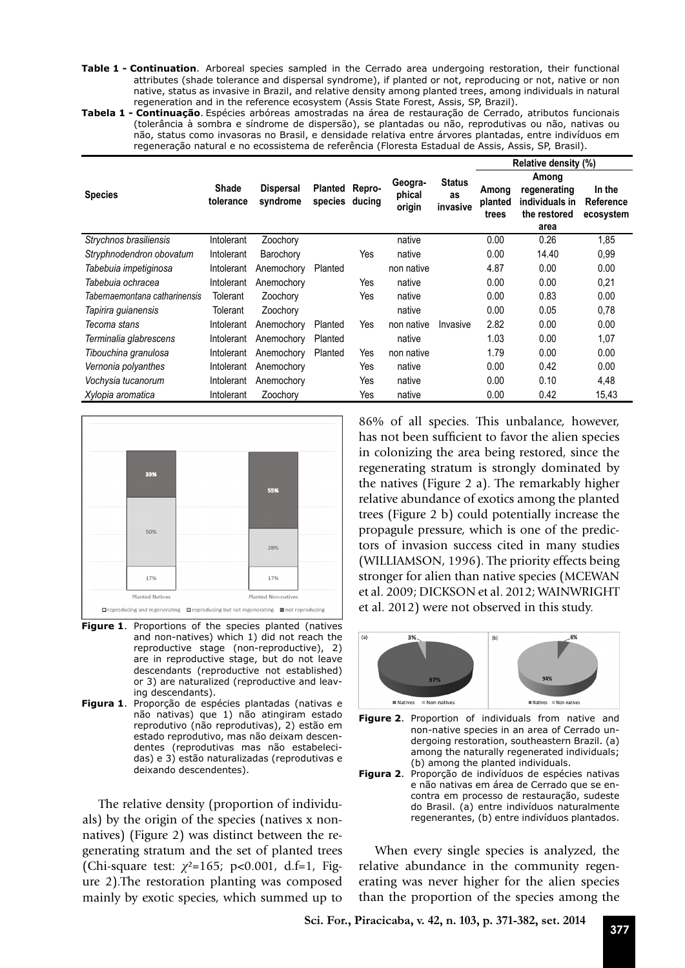**Table 1 - Continuation**. Arboreal species sampled in the Cerrado area undergoing restoration, their functional attributes (shade tolerance and dispersal syndrome), if planted or not, reproducing or not, native or non native, status as invasive in Brazil, and relative density among planted trees, among individuals in natural regeneration and in the reference ecosystem (Assis State Forest, Assis, SP, Brazil).

**Tabela 1 - Continuação**. Espécies arbóreas amostradas na área de restauração de Cerrado, atributos funcionais (tolerância à sombra e síndrome de dispersão), se plantadas ou não, reprodutivas ou não, nativas ou não, status como invasoras no Brasil, e densidade relativa entre árvores plantadas, entre indivíduos em regeneração natural e no ecossistema de referência (Floresta Estadual de Assis, Assis, SP, Brasil).

|                               |                    |                              |                           |                  |                             |                                 | Relative density (%)      |                                                                 |                                  |
|-------------------------------|--------------------|------------------------------|---------------------------|------------------|-----------------------------|---------------------------------|---------------------------|-----------------------------------------------------------------|----------------------------------|
| <b>Species</b>                | Shade<br>tolerance | <b>Dispersal</b><br>syndrome | <b>Planted</b><br>species | Repro-<br>ducina | Geogra-<br>phical<br>origin | <b>Status</b><br>as<br>invasive | Among<br>planted<br>trees | Among<br>regenerating<br>individuals in<br>the restored<br>area | In the<br>Reference<br>ecosystem |
| Strychnos brasiliensis        | Intolerant         | Zoochory                     |                           |                  | native                      |                                 | 0.00                      | 0.26                                                            | 1,85                             |
| Stryphnodendron obovatum      | Intolerant         | Barochory                    |                           | Yes              | native                      |                                 | 0.00                      | 14.40                                                           | 0,99                             |
| Tabebuia impetiginosa         | Intolerant         | Anemochory                   | Planted                   |                  | non native                  |                                 | 4.87                      | 0.00                                                            | 0.00                             |
| Tabebuia ochracea             | Intolerant         | Anemochory                   |                           | Yes              | native                      |                                 | 0.00                      | 0.00                                                            | 0.21                             |
| Tabernaemontana catharinensis | Tolerant           | Zoochory                     |                           | Yes              | native                      |                                 | 0.00                      | 0.83                                                            | 0.00                             |
| Tapirira guianensis           | <b>Tolerant</b>    | Zoochory                     |                           |                  | native                      |                                 | 0.00                      | 0.05                                                            | 0,78                             |
| Tecoma stans                  | Intolerant         | Anemochory                   | Planted                   | Yes              | non native                  | Invasive                        | 2.82                      | 0.00                                                            | 0.00                             |
| Terminalia glabrescens        | Intolerant         | Anemochory                   | Planted                   |                  | native                      |                                 | 1.03                      | 0.00                                                            | 1,07                             |
| Tibouchina granulosa          | Intolerant         | Anemochory                   | Planted                   | Yes              | non native                  |                                 | 1.79                      | 0.00                                                            | 0.00                             |
| Vernonia polyanthes           | Intolerant         | Anemochory                   |                           | Yes              | native                      |                                 | 0.00                      | 0.42                                                            | 0.00                             |
| Vochysia tucanorum            | Intolerant         | Anemochory                   |                           | Yes              | native                      |                                 | 0.00                      | 0.10                                                            | 4,48                             |
| Xylopia aromatica             | Intolerant         | Zoochory                     |                           | Yes              | native                      |                                 | 0.00                      | 0.42                                                            | 15,43                            |



- **Figure 1.** Proportions of the species planted (natives and non-natives) which 1) did not reach the reproductive stage (non-reproductive), 2) are in reproductive stage, but do not leave descendants (reproductive not established) or 3) are naturalized (reproductive and leaving descendants).
- **Figura 1**. Proporção de espécies plantadas (nativas e não nativas) que 1) não atingiram estado reprodutivo (não reprodutivas), 2) estão em estado reprodutivo, mas não deixam descendentes (reprodutivas mas não estabelecidas) e 3) estão naturalizadas (reprodutivas e deixando descendentes).

The relative density (proportion of individuals) by the origin of the species (natives x nonnatives) (Figure 2) was distinct between the regenerating stratum and the set of planted trees (Chi-square test: *χ*²=165; p<0.001, d.f=1, Figure 2).The restoration planting was composed mainly by exotic species, which summed up to

86% of all species. This unbalance, however, has not been sufficient to favor the alien species in colonizing the area being restored, since the regenerating stratum is strongly dominated by the natives (Figure 2 a). The remarkably higher relative abundance of exotics among the planted trees (Figure 2 b) could potentially increase the propagule pressure, which is one of the predictors of invasion success cited in many studies (WILLIAMSON, 1996). The priority effects being stronger for alien than native species (MCEWAN et al. 2009; DICKSON et al. 2012; WAINWRIGHT et al. 2012) were not observed in this study.



- **Figure 2**. Proportion of individuals from native and non-native species in an area of Cerrado undergoing restoration, southeastern Brazil. (a) among the naturally regenerated individuals; (b) among the planted individuals.
- **Figura 2**. Proporção de indivíduos de espécies nativas e não nativas em área de Cerrado que se encontra em processo de restauração, sudeste do Brasil. (a) entre indivíduos naturalmente regenerantes, (b) entre indivíduos plantados.

When every single species is analyzed, the relative abundance in the community regenerating was never higher for the alien species than the proportion of the species among the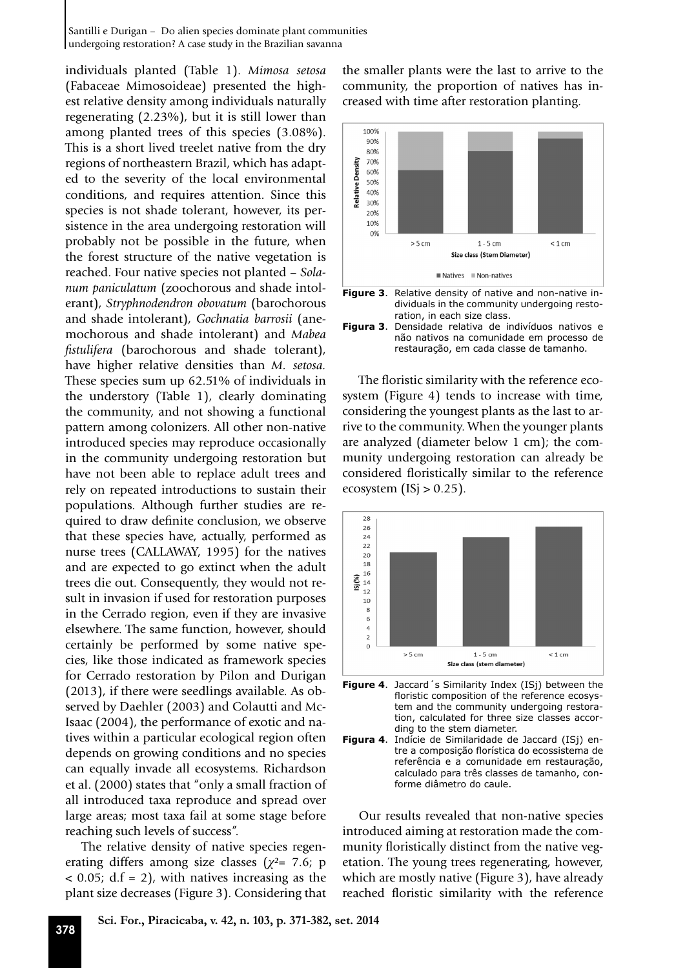individuals planted (Table 1). *Mimosa setosa*  (Fabaceae Mimosoideae) presented the highest relative density among individuals naturally regenerating (2.23%), but it is still lower than among planted trees of this species (3.08%). This is a short lived treelet native from the dry regions of northeastern Brazil, which has adapted to the severity of the local environmental conditions, and requires attention. Since this species is not shade tolerant, however, its persistence in the area undergoing restoration will probably not be possible in the future, when the forest structure of the native vegetation is reached. Four native species not planted – *Solanum paniculatum* (zoochorous and shade intolerant), *Stryphnodendron obovatum* (barochorous and shade intolerant), *Gochnatia barrosii* (anemochorous and shade intolerant) and *Mabea fistulifera* (barochorous and shade tolerant), have higher relative densities than *M. setosa.*  These species sum up 62.51% of individuals in the understory (Table 1), clearly dominating the community, and not showing a functional pattern among colonizers. All other non-native introduced species may reproduce occasionally in the community undergoing restoration but have not been able to replace adult trees and rely on repeated introductions to sustain their populations. Although further studies are required to draw definite conclusion, we observe that these species have, actually, performed as nurse trees (CALLAWAY, 1995) for the natives and are expected to go extinct when the adult trees die out. Consequently, they would not result in invasion if used for restoration purposes in the Cerrado region, even if they are invasive elsewhere. The same function, however, should certainly be performed by some native species, like those indicated as framework species for Cerrado restoration by Pilon and Durigan (2013), if there were seedlings available. As observed by Daehler (2003) and Colautti and Mc-Isaac (2004), the performance of exotic and natives within a particular ecological region often depends on growing conditions and no species can equally invade all ecosystems. Richardson et al. (2000) states that "only a small fraction of all introduced taxa reproduce and spread over large areas; most taxa fail at some stage before reaching such levels of success".

The relative density of native species regenerating differs among size classes (*χ*²= 7.6; p  $<$  0.05; d.f = 2), with natives increasing as the plant size decreases (Figure 3). Considering that

the smaller plants were the last to arrive to the community, the proportion of natives has increased with time after restoration planting.







The floristic similarity with the reference ecosystem (Figure 4) tends to increase with time, considering the youngest plants as the last to arrive to the community. When the younger plants are analyzed (diameter below 1 cm); the community undergoing restoration can already be considered floristically similar to the reference ecosystem  $(ISj > 0.25)$ .



- **Figure 4**. Jaccard´s Similarity Index (ISj) between the floristic composition of the reference ecosystem and the community undergoing restoration, calculated for three size classes according to the stem diameter.
- **Figura 4**. Indície de Similaridade de Jaccard (ISj) entre a composição florística do ecossistema de referência e a comunidade em restauração, calculado para três classes de tamanho, conforme diâmetro do caule.

Our results revealed that non-native species introduced aiming at restoration made the community floristically distinct from the native vegetation. The young trees regenerating, however, which are mostly native (Figure 3), have already reached floristic similarity with the reference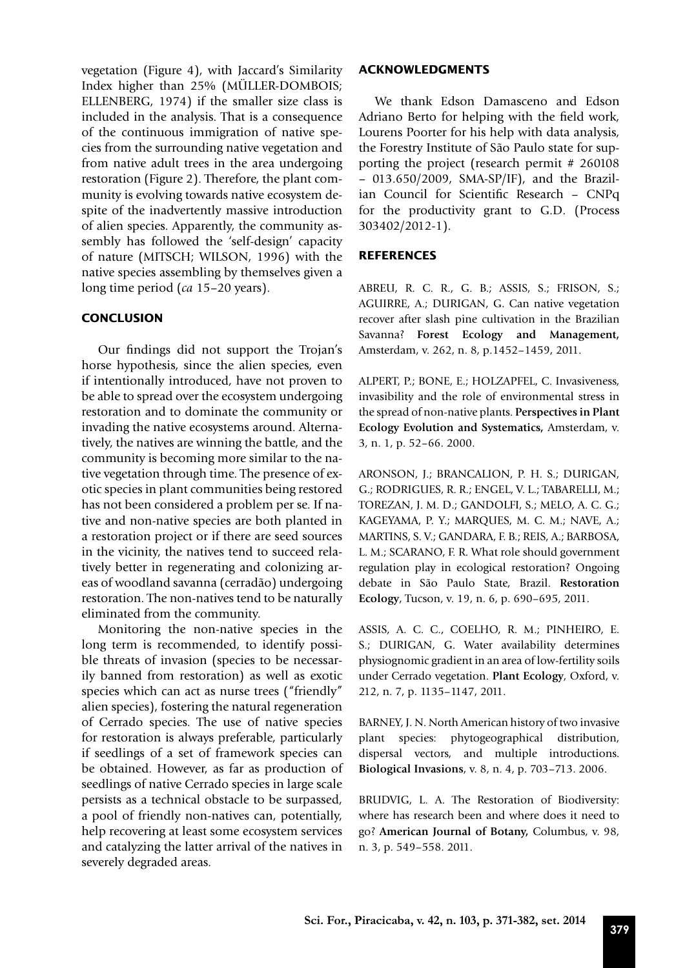vegetation (Figure 4), with Jaccard's Similarity Index higher than 25% (MÜLLER-DOMBOIS; ELLENBERG, 1974) if the smaller size class is included in the analysis. That is a consequence of the continuous immigration of native species from the surrounding native vegetation and from native adult trees in the area undergoing restoration (Figure 2). Therefore, the plant community is evolving towards native ecosystem despite of the inadvertently massive introduction of alien species. Apparently, the community assembly has followed the 'self-design' capacity of nature (MITSCH; WILSON, 1996) with the native species assembling by themselves given a long time period (*ca* 15–20 years).

### **CONCLUSION**

Our findings did not support the Trojan's horse hypothesis, since the alien species, even if intentionally introduced, have not proven to be able to spread over the ecosystem undergoing restoration and to dominate the community or invading the native ecosystems around. Alternatively, the natives are winning the battle, and the community is becoming more similar to the native vegetation through time. The presence of exotic species in plant communities being restored has not been considered a problem per se. If native and non-native species are both planted in a restoration project or if there are seed sources in the vicinity, the natives tend to succeed relatively better in regenerating and colonizing areas of woodland savanna (cerradão) undergoing restoration. The non-natives tend to be naturally eliminated from the community.

Monitoring the non-native species in the long term is recommended, to identify possible threats of invasion (species to be necessarily banned from restoration) as well as exotic species which can act as nurse trees ("friendly" alien species), fostering the natural regeneration of Cerrado species. The use of native species for restoration is always preferable, particularly if seedlings of a set of framework species can be obtained. However, as far as production of seedlings of native Cerrado species in large scale persists as a technical obstacle to be surpassed, a pool of friendly non-natives can, potentially, help recovering at least some ecosystem services and catalyzing the latter arrival of the natives in severely degraded areas.

#### **ACKNOWLEDGMENTS**

We thank Edson Damasceno and Edson Adriano Berto for helping with the field work, Lourens Poorter for his help with data analysis, the Forestry Institute of São Paulo state for supporting the project (research permit # 260108 – 013.650/2009, SMA-SP/IF), and the Brazilian Council for Scientific Research – CNPq for the productivity grant to G.D. (Process 303402/2012-1).

#### **REFERENCES**

ABREU, R. C. R., G. B.; ASSIS, S.; FRISON, S.; AGUIRRE, A.; DURIGAN, G. Can native vegetation recover after slash pine cultivation in the Brazilian Savanna? **Forest Ecology and Management,**  Amsterdam, v. 262, n. 8, p.1452–1459, 2011.

ALPERT, P.; BONE, E.; HOLZAPFEL, C. Invasiveness, invasibility and the role of environmental stress in the spread of non-native plants. **Perspectives in Plant Ecology Evolution and Systematics,** Amsterdam, v. 3, n. 1, p. 52–66. 2000.

ARONSON, J.; BRANCALION, P. H. S.; DURIGAN, G.; RODRIGUES, R. R.; ENGEL, V. L.; TABARELLI, M.; TOREZAN, J. M. D.; GANDOLFI, S.; MELO, A. C. G.; KAGEYAMA, P. Y.; MARQUES, M. C. M.; NAVE, A.; MARTINS, S. V.; GANDARA, F. B.; REIS, A.; BARBOSA, L. M.; SCARANO, F. R. What role should government regulation play in ecological restoration? Ongoing debate in São Paulo State, Brazil. **Restoration Ecology**, Tucson, v. 19, n. 6, p. 690–695, 2011.

ASSIS, A. C. C., COELHO, R. M.; PINHEIRO, E. S.; DURIGAN, G. Water availability determines physiognomic gradient in an area of low-fertility soils under Cerrado vegetation. **Plant Ecology**, Oxford, v. 212, n. 7, p. 1135–1147, 2011.

BARNEY, J. N. North American history of two invasive plant species: phytogeographical distribution, dispersal vectors, and multiple introductions. **Biological Invasions**, v. 8, n. 4, p. 703–713. 2006.

BRUDVIG, L. A. The Restoration of Biodiversity: where has research been and where does it need to go? **American Journal of Botany,** Columbus, v. 98, n. 3, p. 549–558. 2011.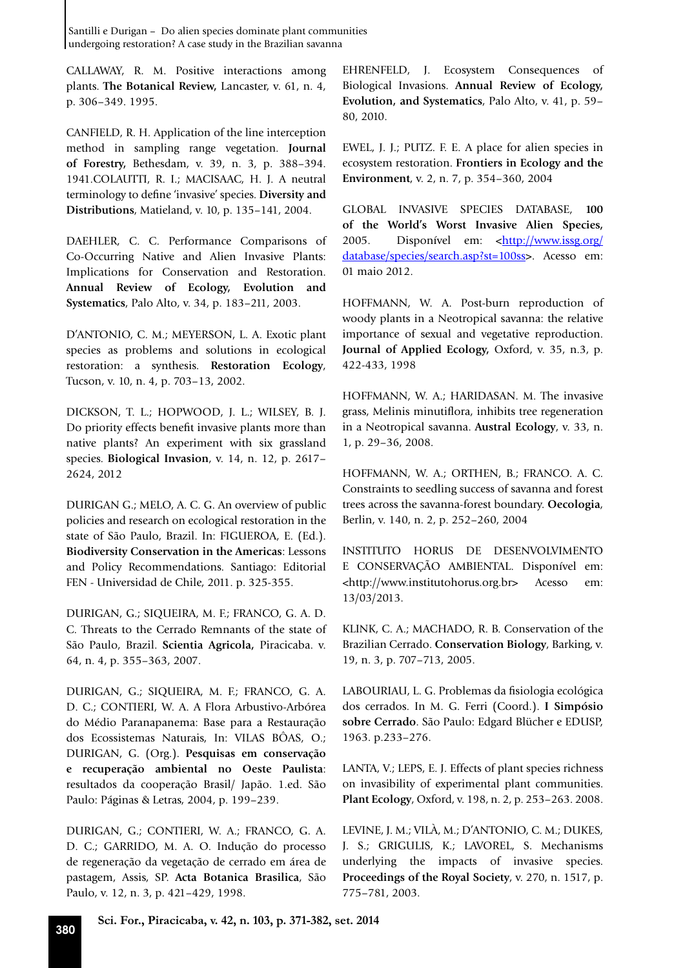CALLAWAY, R. M. Positive interactions among plants. **The Botanical Review,** Lancaster, v. 61, n. 4, p. 306–349. 1995.

CANFIELD, R. H. Application of the line interception method in sampling range vegetation. **Journal of Forestry,** Bethesdam, v. 39, n. 3, p. 388–394. 1941.COLAUTTI, R. I.; MACISAAC, H. J. A neutral terminology to define 'invasive' species. **Diversity and Distributions**, Matieland, v. 10, p. 135–141, 2004.

DAEHLER, C. C. Performance Comparisons of Co-Occurring Native and Alien Invasive Plants: Implications for Conservation and Restoration. **Annual Review of Ecology, Evolution and Systematics**, Palo Alto, v. 34, p. 183–211, 2003.

D'ANTONIO, C. M.; MEYERSON, L. A. Exotic plant species as problems and solutions in ecological restoration: a synthesis. **Restoration Ecology**, Tucson, v. 10, n. 4, p. 703–13, 2002.

DICKSON, T. L.; HOPWOOD, J. L.; WILSEY, B. J. Do priority effects benefit invasive plants more than native plants? An experiment with six grassland species. **Biological Invasion**, v. 14, n. 12, p. 2617– 2624, 2012

DURIGAN G.; MELO, A. C. G. An overview of public policies and research on ecological restoration in the state of São Paulo, Brazil. In: FIGUEROA, E. (Ed.). **Biodiversity Conservation in the Americas**: Lessons and Policy Recommendations. Santiago: Editorial FEN - Universidad de Chile, 2011. p. 325-355.

DURIGAN, G.; SIQUEIRA, M. F.; FRANCO, G. A. D. C. Threats to the Cerrado Remnants of the state of São Paulo, Brazil. **Scientia Agricola,** Piracicaba. v. 64, n. 4, p. 355–363, 2007.

DURIGAN, G.; SIQUEIRA, M. F.; FRANCO, G. A. D. C.; CONTIERI, W. A. A Flora Arbustivo-Arbórea do Médio Paranapanema: Base para a Restauração dos Ecossistemas Naturais, In: VILAS BÔAS, O.; DURIGAN, G. (Org.). **Pesquisas em conservação e recuperação ambiental no Oeste Paulista**: resultados da cooperação Brasil/ Japão. 1.ed. São Paulo: Páginas & Letras, 2004, p. 199–239.

DURIGAN, G.; CONTIERI, W. A.; FRANCO, G. A. D. C.; GARRIDO, M. A. O. Indução do processo de regeneração da vegetação de cerrado em área de pastagem, Assis, SP. **Acta Botanica Brasilica**, São Paulo, v. 12, n. 3, p. 421–429, 1998.

EHRENFELD, J. Ecosystem Consequences of Biological Invasions. **Annual Review of Ecology, Evolution, and Systematics**, Palo Alto, v. 41, p. 59– 80, 2010.

EWEL, J. J.; PUTZ. F. E. A place for alien species in ecosystem restoration. **Frontiers in Ecology and the Environment**, v. 2, n. 7, p. 354–360, 2004

GLOBAL INVASIVE SPECIES DATABASE, **100 of the World's Worst Invasive Alien Species,** 2005. Disponível em: <http://www.issg.org/ database/species/search.asp?st=100ss>. Acesso em: 01 maio 2012.

HOFFMANN, W. A. Post-burn reproduction of woody plants in a Neotropical savanna: the relative importance of sexual and vegetative reproduction. **Journal of Applied Ecology,** Oxford, v. 35, n.3, p. 422-433, 1998

HOFFMANN, W. A.; HARIDASAN. M. The invasive grass, Melinis minutiflora, inhibits tree regeneration in a Neotropical savanna. **Austral Ecology**, v. 33, n. 1, p. 29–36, 2008.

HOFFMANN, W. A.; ORTHEN, B.; FRANCO. A. C. Constraints to seedling success of savanna and forest trees across the savanna-forest boundary. **Oecologia**, Berlin, v. 140, n. 2, p. 252–260, 2004

INSTITUTO HORUS DE DESENVOLVIMENTO E CONSERVAÇÃO AMBIENTAL. Disponível em: <http://www.institutohorus.org.br> Acesso em: 13/03/2013.

KLINK, C. A.; MACHADO, R. B. Conservation of the Brazilian Cerrado. **Conservation Biology**, Barking, v. 19, n. 3, p. 707–713, 2005.

LABOURIAU, L. G. Problemas da fisiologia ecológica dos cerrados. In M. G. Ferri (Coord.). **I Simpósio sobre Cerrado**. São Paulo: Edgard Blücher e EDUSP, 1963. p.233–276.

LANTA, V.; LEPS, E. J. Effects of plant species richness on invasibility of experimental plant communities. **Plant Ecology**, Oxford, v. 198, n. 2, p. 253–263. 2008.

LEVINE, J. M.; VILÀ, M.; D'ANTONIO, C. M.; DUKES, J. S.; GRIGULIS, K.; LAVOREL, S. Mechanisms underlying the impacts of invasive species. **Proceedings of the Royal Society**, v. 270, n. 1517, p. 775–781, 2003.

**<sup>380</sup> Sci. For., Piracicaba, v. 42, n. 103, p. 371-382, set. 2014**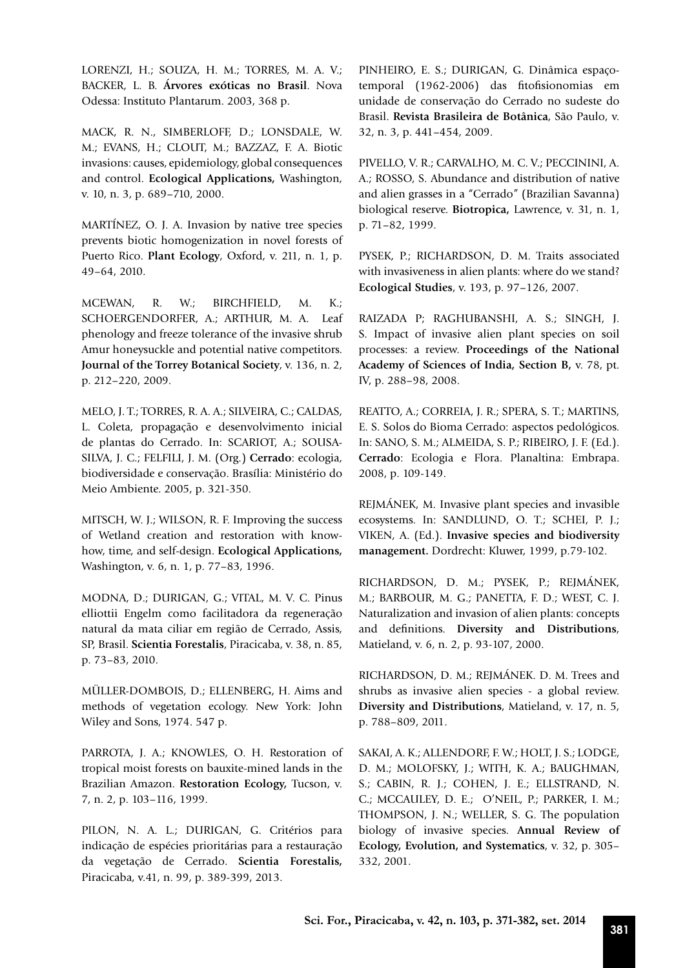LORENZI, H.; SOUZA, H. M.; TORRES, M. A. V.; BACKER, L. B. **Árvores exóticas no Brasil**. Nova Odessa: Instituto Plantarum. 2003, 368 p.

MACK, R. N., SIMBERLOFF, D.; LONSDALE, W. M.; EVANS, H.; CLOUT, M.; BAZZAZ, F. A. Biotic invasions: causes, epidemiology, global consequences and control. **Ecological Applications,** Washington, v. 10, n. 3, p. 689–710, 2000.

MARTÍNEZ, O. J. A. Invasion by native tree species prevents biotic homogenization in novel forests of Puerto Rico. **Plant Ecology**, Oxford, v. 211, n. 1, p. 49–64, 2010.

MCEWAN, R. W.; BIRCHFIELD, M. K.; SCHOERGENDORFER, A.; ARTHUR, M. A. Leaf phenology and freeze tolerance of the invasive shrub Amur honeysuckle and potential native competitors. **Journal of the Torrey Botanical Society**, v. 136, n. 2, p. 212–220, 2009.

MELO, J. T.; TORRES, R. A. A.; SILVEIRA, C.; CALDAS, L. Coleta, propagação e desenvolvimento inicial de plantas do Cerrado. In: SCARIOT, A.; SOUSA-SILVA, J. C.; FELFILI, J. M. (Org.) **Cerrado**: ecologia, biodiversidade e conservação. Brasília: Ministério do Meio Ambiente. 2005, p. 321-350.

MITSCH, W. J.; WILSON, R. F. Improving the success of Wetland creation and restoration with knowhow, time, and self-design. **Ecological Applications,**  Washington, v. 6, n. 1, p. 77–83, 1996.

MODNA, D.; DURIGAN, G.; VITAL, M. V. C. Pinus elliottii Engelm como facilitadora da regeneração natural da mata ciliar em região de Cerrado, Assis, SP, Brasil. **Scientia Forestalis**, Piracicaba, v. 38, n. 85, p. 73–83, 2010.

MÜLLER-DOMBOIS, D.; ELLENBERG, H. Aims and methods of vegetation ecology. New York: John Wiley and Sons, 1974. 547 p.

PARROTA, J. A.; KNOWLES, O. H. Restoration of tropical moist forests on bauxite-mined lands in the Brazilian Amazon. **Restoration Ecology,** Tucson, v. 7, n. 2, p. 103–116, 1999.

PILON, N. A. L.; DURIGAN, G. Critérios para indicação de espécies prioritárias para a restauração da vegetação de Cerrado. **Scientia Forestalis,**  Piracicaba, v.41, n. 99, p. 389-399, 2013.

PINHEIRO, E. S.; DURIGAN, G. Dinâmica espaçotemporal (1962-2006) das fitofisionomias em unidade de conservação do Cerrado no sudeste do Brasil. **Revista Brasileira de Botânica**, São Paulo, v. 32, n. 3, p. 441–454, 2009.

PIVELLO, V. R.; CARVALHO, M. C. V.; PECCININI, A. A.; ROSSO, S. Abundance and distribution of native and alien grasses in a "Cerrado" (Brazilian Savanna) biological reserve. **Biotropica,** Lawrence, v. 31, n. 1, p. 71–82, 1999.

PYSEK, P.; RICHARDSON, D. M. Traits associated with invasiveness in alien plants: where do we stand? **Ecological Studies**, v. 193, p. 97–126, 2007.

RAIZADA P; RAGHUBANSHI, A. S.; SINGH, J. S. Impact of invasive alien plant species on soil processes: a review. **Proceedings of the National Academy of Sciences of India, Section B,** v. 78, pt. IV, p. 288–98, 2008.

REATTO, A.; CORREIA, J. R.; SPERA, S. T.; MARTINS, E. S. Solos do Bioma Cerrado: aspectos pedológicos. In: SANO, S. M.; ALMEIDA, S. P.; RIBEIRO, J. F. (Ed.). **Cerrado**: Ecologia e Flora. Planaltina: Embrapa. 2008, p. 109-149.

REJMÁNEK, M. Invasive plant species and invasible ecosystems. In: SANDLUND, O. T.; SCHEI, P. J.; VIKEN, A. (Ed.). **Invasive species and biodiversity management.** Dordrecht: Kluwer, 1999, p.79-102.

RICHARDSON, D. M.; PYSEK, P.; REJMÁNEK, M.; BARBOUR, M. G.; PANETTA, F. D.; WEST, C. J. Naturalization and invasion of alien plants: concepts and definitions. **Diversity and Distributions**, Matieland, v. 6, n. 2, p. 93-107, 2000.

RICHARDSON, D. M.; REJMÁNEK. D. M. Trees and shrubs as invasive alien species - a global review. **Diversity and Distributions**, Matieland, v. 17, n. 5, p. 788–809, 2011.

SAKAI, A. K.; ALLENDORF, F. W.; HOLT, J. S.; LODGE, D. M.; MOLOFSKY, J.; WITH, K. A.; BAUGHMAN, S.; CABIN, R. J.; COHEN, J. E.; ELLSTRAND, N. C.; MCCAULEY, D. E.; O'NEIL, P.; PARKER, I. M.; THOMPSON, J. N.; WELLER, S. G. The population biology of invasive species. **Annual Review of Ecology, Evolution, and Systematics**, v. 32, p. 305– 332, 2001.